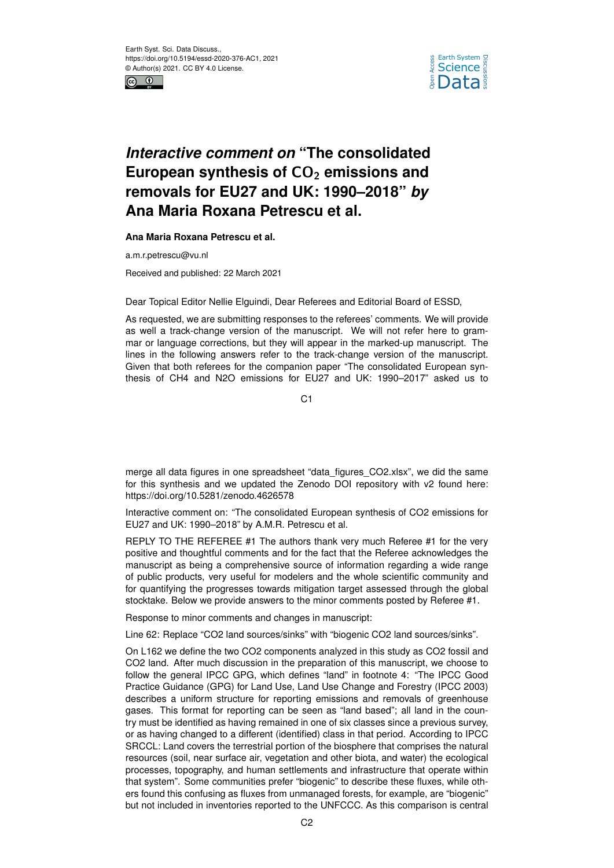



## *Interactive comment on* **"The consolidated** European synthesis of CO<sub>2</sub> emissions and **removals for EU27 and UK: 1990–2018"** *by* **Ana Maria Roxana Petrescu et al.**

## **Ana Maria Roxana Petrescu et al.**

a.m.r.petrescu@vu.nl

Received and published: 22 March 2021

Dear Topical Editor Nellie Elguindi, Dear Referees and Editorial Board of ESSD,

As requested, we are submitting responses to the referees' comments. We will provide as well a track-change version of the manuscript. We will not refer here to grammar or language corrections, but they will appear in the marked-up manuscript. The lines in the following answers refer to the track-change version of the manuscript. Given that both referees for the companion paper "The consolidated European synthesis of CH4 and N2O emissions for EU27 and UK: 1990–2017" asked us to

C<sub>1</sub>

merge all data figures in one spreadsheet "data\_figures\_CO2.xlsx", we did the same for this synthesis and we updated the Zenodo DOI repository with v2 found here: https://doi.org/10.5281/zenodo.4626578

Interactive comment on: "The consolidated European synthesis of CO2 emissions for EU27 and UK: 1990–2018" by A.M.R. Petrescu et al.

REPLY TO THE REFEREE #1 The authors thank very much Referee #1 for the very positive and thoughtful comments and for the fact that the Referee acknowledges the manuscript as being a comprehensive source of information regarding a wide range of public products, very useful for modelers and the whole scientific community and for quantifying the progresses towards mitigation target assessed through the global stocktake. Below we provide answers to the minor comments posted by Referee #1.

Response to minor comments and changes in manuscript:

Line 62: Replace "CO2 land sources/sinks" with "biogenic CO2 land sources/sinks".

On L162 we define the two CO2 components analyzed in this study as CO2 fossil and CO2 land. After much discussion in the preparation of this manuscript, we choose to follow the general IPCC GPG, which defines "land" in footnote 4: "The IPCC Good Practice Guidance (GPG) for Land Use, Land Use Change and Forestry (IPCC 2003) describes a uniform structure for reporting emissions and removals of greenhouse gases. This format for reporting can be seen as "land based"; all land in the country must be identified as having remained in one of six classes since a previous survey, or as having changed to a different (identified) class in that period. According to IPCC SRCCL: Land covers the terrestrial portion of the biosphere that comprises the natural resources (soil, near surface air, vegetation and other biota, and water) the ecological processes, topography, and human settlements and infrastructure that operate within that system". Some communities prefer "biogenic" to describe these fluxes, while others found this confusing as fluxes from unmanaged forests, for example, are "biogenic" but not included in inventories reported to the UNFCCC. As this comparison is central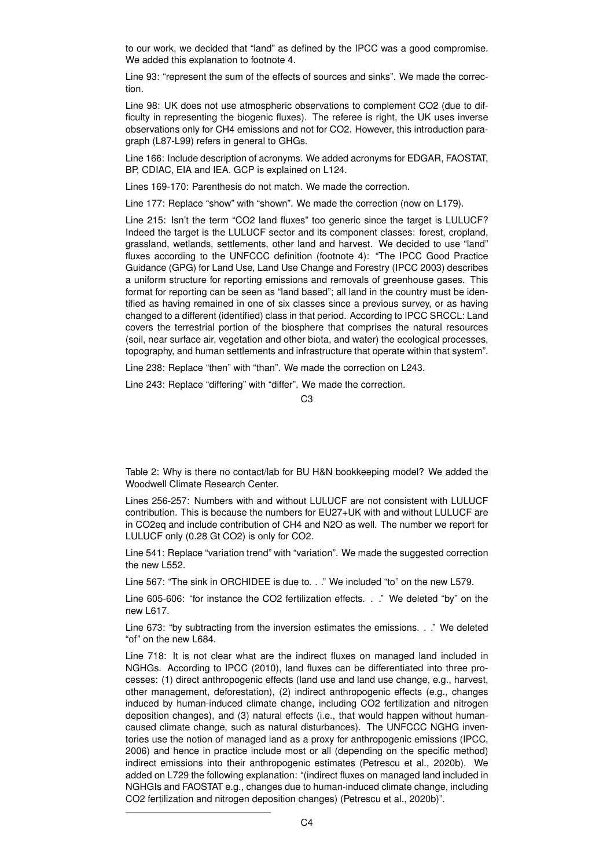to our work, we decided that "land" as defined by the IPCC was a good compromise. We added this explanation to footnote 4.

Line 93: "represent the sum of the effects of sources and sinks". We made the correction.

Line 98: UK does not use atmospheric observations to complement CO2 (due to difficulty in representing the biogenic fluxes). The referee is right, the UK uses inverse observations only for CH4 emissions and not for CO2. However, this introduction paragraph (L87-L99) refers in general to GHGs.

Line 166: Include description of acronyms. We added acronyms for EDGAR, FAOSTAT, BP, CDIAC, EIA and IEA, GCP is explained on L124.

Lines 169-170: Parenthesis do not match. We made the correction.

Line 177: Replace "show" with "shown". We made the correction (now on L179).

Line 215: Isn't the term "CO2 land fluxes" too generic since the target is LULUCF? Indeed the target is the LULUCF sector and its component classes: forest, cropland, grassland, wetlands, settlements, other land and harvest. We decided to use "land" fluxes according to the UNFCCC definition (footnote 4): "The IPCC Good Practice Guidance (GPG) for Land Use, Land Use Change and Forestry (IPCC 2003) describes a uniform structure for reporting emissions and removals of greenhouse gases. This format for reporting can be seen as "land based"; all land in the country must be identified as having remained in one of six classes since a previous survey, or as having changed to a different (identified) class in that period. According to IPCC SRCCL: Land covers the terrestrial portion of the biosphere that comprises the natural resources (soil, near surface air, vegetation and other biota, and water) the ecological processes, topography, and human settlements and infrastructure that operate within that system".

Line 238: Replace "then" with "than". We made the correction on L243.

Line 243: Replace "differing" with "differ". We made the correction.

 $C<sub>3</sub>$ 

Table 2: Why is there no contact/lab for BU H&N bookkeeping model? We added the Woodwell Climate Research Center.

Lines 256-257: Numbers with and without LULUCF are not consistent with LULUCF contribution. This is because the numbers for EU27+UK with and without LULUCF are in CO2eq and include contribution of CH4 and N2O as well. The number we report for LULUCF only (0.28 Gt CO2) is only for CO2.

Line 541: Replace "variation trend" with "variation". We made the suggested correction the new L552.

Line 567: "The sink in ORCHIDEE is due to. . ." We included "to" on the new L579.

Line 605-606: "for instance the CO2 fertilization effects. . ." We deleted "by" on the new L617.

Line 673: "by subtracting from the inversion estimates the emissions. . ." We deleted "of" on the new L684.

Line 718: It is not clear what are the indirect fluxes on managed land included in NGHGs. According to IPCC (2010), land fluxes can be differentiated into three processes: (1) direct anthropogenic effects (land use and land use change, e.g., harvest, other management, deforestation), (2) indirect anthropogenic effects (e.g., changes induced by human-induced climate change, including CO2 fertilization and nitrogen deposition changes), and (3) natural effects (i.e., that would happen without humancaused climate change, such as natural disturbances). The UNFCCC NGHG inventories use the notion of managed land as a proxy for anthropogenic emissions (IPCC, 2006) and hence in practice include most or all (depending on the specific method) indirect emissions into their anthropogenic estimates (Petrescu et al., 2020b). We added on L729 the following explanation: "(indirect fluxes on managed land included in NGHGIs and FAOSTAT e.g., changes due to human-induced climate change, including CO2 fertilization and nitrogen deposition changes) (Petrescu et al., 2020b)".